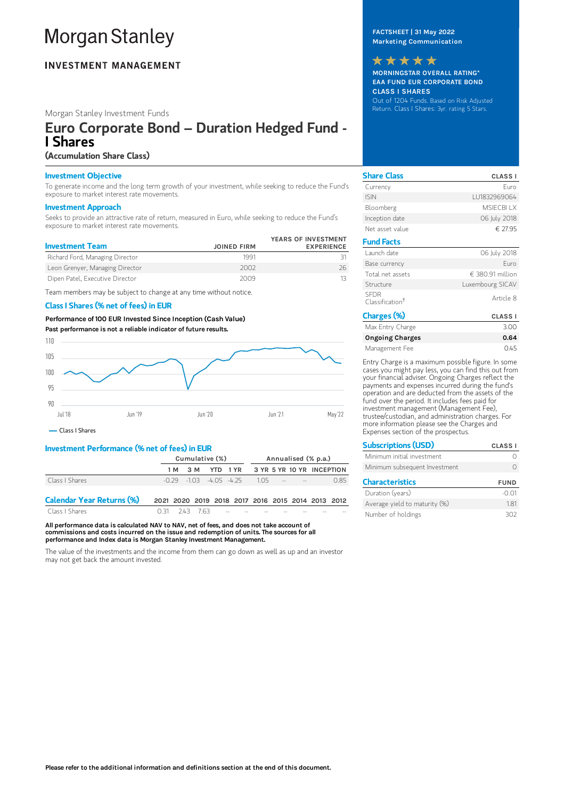# **Morgan Stanley**

## **INVESTMENT MANAGEMENT**

## Morgan Stanley Investment Funds

# Euro Corporate Bond – Duration Hedged Fund - I Shares

## (Accumulation Share Class)

#### Investment Objective

To generate income and the long term growth of your investment, while seeking to reduce the Fund's exposure to market interest rate movements.

#### Investment Approach

Seeks to provide an attractive rate of return, measured in Euro, while seeking to reduce the Fund's exposure to market interest rate movements.

| <b>Investment Team</b>          | <b>JOINED FIRM</b> | YEARS OF INVESTMENT<br><b>EXPERIENCE</b> |
|---------------------------------|--------------------|------------------------------------------|
| Richard Ford, Managing Director | 1991               |                                          |
| Leon Grenyer, Managing Director | 2002               | 26                                       |
| Dipen Patel, Executive Director | 2009               |                                          |

Team members may be subject to change at any time without notice.

## Class I Shares (% net of fees) in EUR

Performance of 100 EUR Invested Since Inception (Cash Value) Past performance is not a reliable indicator of future results.



Class I Shares

#### Investment Performance (% net of fees) in EUR

|                                  | Cumulative (%)                                    |  |  |                                                       | Annualised (% p.a.) |  |  |  |      |
|----------------------------------|---------------------------------------------------|--|--|-------------------------------------------------------|---------------------|--|--|--|------|
|                                  |                                                   |  |  | 1M 3M YTD 1YR 3YR 5YR 10YR INCEPTION                  |                     |  |  |  |      |
| Class I Shares                   |                                                   |  |  | $-0.79$ $-1.03$ $-4.05$ $-4.75$ $1.05$ $-5.5$ $-1.03$ |                     |  |  |  | 0.85 |
| <b>Calendar Year Returns (%)</b> | 2021 2020 2019 2018 2017 2016 2015 2014 2013 2012 |  |  |                                                       |                     |  |  |  |      |

Class I Shares 0.31 2.43 7.63

All performance data is calculated NAV to NAV, net of fees, and does not take account of commissions and costs incurred on the issue and redemption of units. The sources for all performance and Index data is Morgan Stanley Investment Management.

The value of the investments and the income from them can go down as well as up and an investor may not get back the amount invested.

## FACTSHEET | 31 May 2022 Marketing Communication

MORNINGSTAR OVERALL RATING\* EAA FUND EUR CORPORATE BOND CLASS I SHARES Out of 1204 Funds. Based on Risk Adjusted Return. Class I Shares: 3yr. rating 5 Stars. \*\*\*\*\*

| <b>Share Class</b>                         | <b>CLASS I</b>   |
|--------------------------------------------|------------------|
| Currency                                   | Furo             |
| <b>ISIN</b>                                | LU1832969064     |
| Bloomberg                                  | <b>MSIFCBLLX</b> |
| Inception date                             | 06 July 2018     |
| Net asset value                            | € 27.95          |
| <b>Fund Facts</b>                          |                  |
| Launch date                                | 06 July 2018     |
| Base currency                              | Furo             |
| Total net assets                           | € 380.91 million |
| Structure                                  | Luxembourg SICAV |
| <b>SEDR</b><br>Classification <sup>†</sup> | Article 8        |
| Charges (%)                                | <b>CLASS I</b>   |
| Max Entry Charge                           | 3.00             |
| <b>Ongoing Charges</b>                     | 0.64             |

Entry Charge is a maximum possible figure. In some cases you might pay less, you can find this out from your financial adviser. Ongoing Charges reflect the payments and expenses incurred during the fund's operation and are deducted from the assets of the fund over the period. It includes fees paid for investment management (Management Fee), trustee/custodian, and administration charges. For more information please see the Charges and Expenses section of the prospectus.

Management Fee 0.45

| <b>Subscriptions (USD)</b>    | <b>CLASS I</b> |
|-------------------------------|----------------|
| Minimum initial investment    |                |
| Minimum subsequent Investment |                |
| <b>Characteristics</b>        | <b>FUND</b>    |
| Duration (years)              |                |

Average yield to maturity (%) 1.81 Number of holdings 302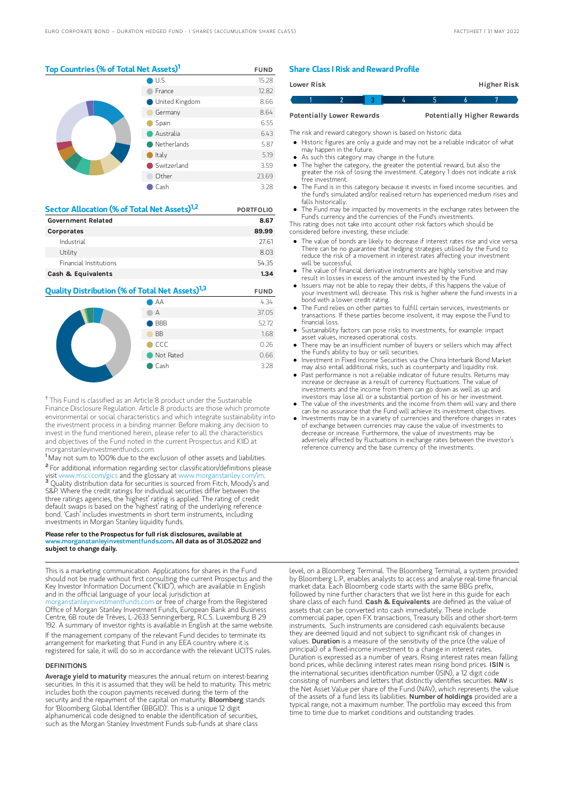## Top Countries (% of Total Net Assets)<sup>1</sup> FUND

|  | U.S.                  | 15.28 |
|--|-----------------------|-------|
|  | France                | 12.82 |
|  | <b>United Kingdom</b> | 8.66  |
|  | Germany               | 8.64  |
|  | Spain                 | 6.55  |
|  | Australia             | 6.43  |
|  | Netherlands           | 5.87  |
|  | Italy                 | 5.19  |
|  | Switzerland           | 3.59  |
|  | Other                 | 23.69 |
|  | Cash                  | 3.28  |

| Sector Allocation (% of Total Net Assets) <sup>1,2</sup> | <b>PORTFOLIO</b> |
|----------------------------------------------------------|------------------|
| <b>Government Related</b>                                | 8.67             |
| Corporates                                               | 89.99            |
| Industrial                                               | 27.61            |
| Utility                                                  | 8.03             |
| Financial Institutions                                   | 5435             |
| Cash & Equivalents                                       | 1.34             |

# **Quality Distribution (% of Total Net Assets)<sup>1,3</sup> FUND**



<sup>†</sup> This Fund is classified as an Article 8 product under the Sustainable Finance Disclosure Regulation. Article 8 products are those which promote environmental or social characteristics and which integrate sustainability into the investment process in a binding manner. Before making any decision to invest in the fund mentioned herein, please refer to all the characteristics and objectives of the Fund noted in the current Prospectus and KIID at morganstanleyinvestmentfunds.com.

<sup>1</sup> May not sum to 100% due to the exclusion of other assets and liabilities. <sup>2</sup> For additional information regarding sector classification/definitions please visit www.msci.com/gics and the glossary at www.morganstanley.com <sup>3</sup> Quality distribution data for securities is sourced from Fitch, Moody's and S&P. Where the credit ratings for individual securities differ between the three ratings agencies, the 'highest' rating is applied. The rating of credit default swaps is based on the 'highest' rating of the underlying reference bond. 'Cash' includes investments in short term instruments, including investments in Morgan Stanley liquidity funds.

#### Please refer to the Prospectus for full risk disclosures, available at  $\mu$ anstanleyinvestmentfunds.com. All data as of 31.05.2022 and subject to change daily.

This is a marketing communication. Applications for shares in the Fund should not be made without first consulting the current Prospectus and the Key Investor Information Document ("KIID"), which are available in English and in the official language of your local jurisdiction at [morganstanleyinvestmentfunds.com](https://www.morganstanley.com/im/msinvf/index.html) or free of charge from the Registered Office of Morgan Stanley Investment Funds, European Bank and Business Centre, 6B route de Trèves, L-2633 Senningerberg, R.C.S. Luxemburg B 29 192. A summary of investor rights is available in English at the same website.

If the management company of the relevant Fund decides to terminate its arrangement for marketing that Fund in any EEA country where it is registered for sale, it will do so in accordance with the relevant UCITS rules.

#### **DEFINITIONS**

Average yield to maturity measures the annual return on interest-bearing securities. In this it is assumed that they will be held to maturity. This metric includes both the coupon payments received during the term of the security and the repayment of the capital on maturity. **Bloomberg** stands for 'Bloomberg Global Identifier (BBGID)'. This is a unique 12 digit alphanumerical code designed to enable the identification of securities, such as the Morgan Stanley Investment Funds sub-funds at share class

#### Share Class I Risk and Reward Profile

| Lower Risk                       |  |  |   |                                   | Higher Risk |
|----------------------------------|--|--|---|-----------------------------------|-------------|
|                                  |  |  | h |                                   |             |
| <b>Potentially Lower Rewards</b> |  |  |   | <b>Potentially Higher Rewards</b> |             |

The risk and reward category shown is based on historic data.

- Historic figures are only a guide and may not be a reliable indicator of what may happen in the future.
- As such this category may change in the future.
- The higher the category, the greater the potential reward, but also the greater the risk of losing the investment. Category 1 does not indicate a risk free investment.
- The Fund is in this category because it invests in fixed income securities. and the fund's simulated and/or realised return has experienced medium rises and falls historically.
- The Fund may be impacted by movements in the exchange rates between the Fund's currency and the currencies of the Fund's investments.
- This rating does not take into account other risk factors which should be considered before investing, these include:
- The value of bonds are likely to decrease if interest rates rise and vice versa. There can be no guarantee that hedging strategies utilised by the Fund to reduce the risk of a movement in interest rates affecting your investment will be successful.
- The value of financial derivative instruments are highly sensitive and may result in losses in excess of the amount invested by the Fund.
- Issuers may not be able to repay their debts, if this happens the value of your investment will decrease. This risk is higher where the fund invests in a bond with a lower credit rating.
- The Fund relies on other parties to fulfill certain services, investments or transactions. If these parties become insolvent, it may expose the Fund to financial loss.
- Sustainability factors can pose risks to investments, for example: impact asset values, increased operational costs.
- There may be an insufficient number of buyers or sellers which may affect the Fund's ability to buy or sell securities.
- Investment in Fixed Income Securities via the China Interbank Bond Market mesument in the amesure securities that the entire interior in containing and liquidity risk.
- Past performance is not a reliable indicator of future results. Returns may increase or decrease as a result of currency fluctuations. The value of investments and the income from them can go down as well as up and investors may lose all or a substantial portion of his or her investment.
- The value of the investments and the income from them will vary and there can be no assurance that the Fund will achieve its investment objectives.
- Investments may be in a variety of currencies and therefore changes in rates of exchange between currencies may cause the value of investments to decrease or increase. Furthermore, the value of investments may be adversely affected by fluctuations in exchange rates between the investor's reference currency and the base currency of the investments.

level, on a Bloomberg Terminal. The Bloomberg Terminal, a system provided by Bloomberg L.P., enables analysts to access and analyse real-time financial market data. Each Bloomberg code starts with the same BBG prefix, followed by nine further characters that we list here in this guide for each share class of each fund. Cash & Equivalents are defined as the value of assets that can be converted into cash immediately. These include commercial paper, open FX transactions, Treasury bills and other short-term instruments. Such instruments are considered cash equivalents because they are deemed liquid and not subject to significant risk of changes in values. Duration is a measure of the sensitivity of the price (the value of principal) of a fixed-income investment to a change in interest rates. Duration is expressed as a number of years. Rising interest rates mean falling bond prices, while declining interest rates mean rising bond prices. ISIN is the international securities identification number (ISIN), a 12 digit code consisting of numbers and letters that distinctly identifies securities. NAV is the Net Asset Value per share of the Fund (NAV), which represents the value of the assets of a fund less its liabilities. Number of holdings provided are a typical range, not a maximum number. The portfolio may exceed this from time to time due to market conditions and outstanding trades.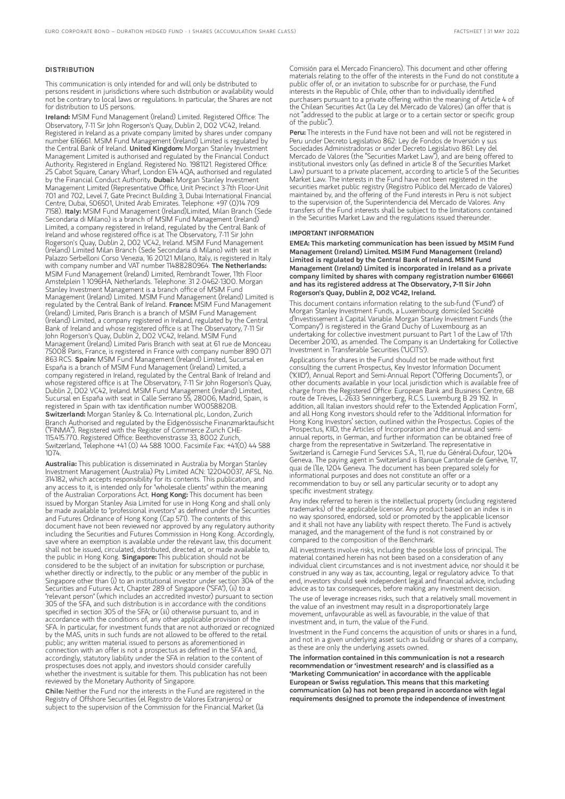#### **DISTRIBUTION**

This communication is only intended for and will only be distributed to persons resident in jurisdictions where such distribution or availability would not be contrary to local laws or regulations. In particular, the Shares are not for distribution to US persons.

Ireland: MSIM Fund Management (Ireland) Limited. Registered Office: The Observatory, 7-11 Sir John Rogerson's Quay, Dublin 2, D02 VC42, Ireland. Registered in Ireland as a private company limited by shares under company number 616661. MSIM Fund Management (Ireland) Limited is regulated by the Central Bank of Ireland. United Kingdom: Morgan Stanley Investment Management Limited is authorised and regulated by the Financial Conduct Authority. Registered in England. Registered No. 1981121. Registered Office: 25 Cabot Square, Canary Wharf, London E14 4QA, authorised and regulated by the Financial Conduct Authority. Dubai: Morgan Stanley Investment Management Limited (Representative Office, Unit Precinct 3-7th Floor-Unit 701 and 702, Level 7, Gate Precinct Building 3, Dubai International Financial Centre, Dubai, 506501, United Arab Emirates. Telephone: +97 (0)14 709<br>7158). I**taly:** MSIM Fund Management (Ireland)Limited, Milan Branch (Sede Secondaria di Milano) is a branch of MSIM Fund Management (Ireland) Limited, a company registered in Ireland, regulated by the Central Bank of Ireland and whose registered office is at The Observatory, 7-11 Sir John Rogerson's Quay, Dublin 2, D02 VC42, Ireland. MSIM Fund Management (Ireland) Limited Milan Branch (Sede Secondaria di Milano) with seat in Palazzo Serbelloni Corso Venezia, 16 20121 Milano, Italy, is registered in Italy with company number and VAT number 11488280964. The Netherlands: MSIM Fund Management (Ireland) Limited, Rembrandt Tower, 11th Floor Amstelplein 1 1096HA, Netherlands. Telephone: 31 2-0462-1300. Morgan Stanley Investment Management is a branch office of MSIM Fund Management (Ireland) Limited. MSIM Fund Management (Ireland) Limited is regulated by the Central Bank of Ireland. France: MSIM Fund Management (Ireland) Limited, Paris Branch is a branch of MSIM Fund Management (Ireland) Limited, a company registered in Ireland, regulated by the Central Bank of Ireland and whose registered office is at The Observatory, 7-11 Sir John Rogerson's Quay, Dublin 2, D02 VC42, Ireland. MSIM Fund Management (Ireland) Limited Paris Branch with seat at 61 rue de Monceau 75008 Paris, France, is registered in France with company number 890 071 863 RCS. Spain: MSIM Fund Management (Ireland) Limited, Sucursal en España is a branch of MSIM Fund Management (Ireland) Limited, a company registered in Ireland, regulated by the Central Bank of Ireland and whose registered office is at The Observatory, 7-11 Sir John Rogerson's Quay, Dublin 2, D02 VC42, Ireland. MSIM Fund Management (Ireland) Limited, Sucursal en España with seat in Calle Serrano 55, 28006, Madrid, Spain, is registered in Spain with tax identification number W0058820B. Switzerland: Morgan Stanley & Co. International plc, London, Zurich Branch Authorised and regulated by the Eidgenössische Finanzmarktaufsicht ("FINMA"). Registered with the Register of Commerce Zurich CHE-115.415.770. Registered Office: Beethovenstrasse 33, 8002 Zurich, Switzerland, Telephone +41 (0) 44 588 1000. Facsimile Fax: +41(0) 44 588 1074.

Australia: This publication is disseminated in Australia by Morgan Stanley Investment Management (Australia) Pty Limited ACN: 122040037, AFSL No. 314182, which accepts responsibility for its contents. This publication, and any access to it, is intended only for "wholesale clients" within the meaning of the Australian Corporations Act. Hong Kong: This document has been issued by Morgan Stanley Asia Limited for use in Hong Kong and shall only be made available to "professional investors" as defined under the Securities and Futures Ordinance of Hong Kong (Cap 571). The contents of this document have not been reviewed nor approved by any regulatory authority including the Securities and Futures Commission in Hong Kong. Accordingly, save where an exemption is available under the relevant law, this document shall not be issued, circulated, distributed, directed at, or made available to, the public in Hong Kong. Singapore: This publication should not be considered to be the subject of an invitation for subscription or purchase, whether directly or indirectly, to the public or any member of the public in Singapore other than (i) to an institutional investor under section 304 of the Securities and Futures Act, Chapter 289 of Singapore ("SFA"), (ii) to a "relevant person" (which includes an accredited investor) pursuant to section 305 of the SFA, and such distribution is in accordance with the conditions specified in section 305 of the SFA; or (iii) otherwise pursuant to, and in accordance with the conditions of, any other applicable provision of the SFA. In particular, for investment funds that are not authorized or recognized by the MAS, units in such funds are not allowed to be offered to the retail public; any written material issued to persons as aforementioned in connection with an offer is not a prospectus as defined in the SFA and, accordingly, statutory liability under the SFA in relation to the content of prospectuses does not apply, and investors should consider carefully whether the investment is suitable for them. This publication has not been reviewed by the Monetary Authority of Singapore.

Chile: Neither the Fund nor the interests in the Fund are registered in the Registry of Offshore Securities (el Registro de Valores Extranjeros) or subject to the supervision of the Commission for the Financial Market (la

Comisión para el Mercado Financiero). This document and other offering materials relating to the offer of the interests in the Fund do not constitute a public offer of, or an invitation to subscribe for or purchase, the Fund interests in the Republic of Chile, other than to individually identified purchasers pursuant to a private offering within the meaning of Article 4 of the Chilean Securities Act (la Ley del Mercado de Valores) (an offer that is not "addressed to the public at large or to a certain sector or specific group of the public").

Peru: The interests in the Fund have not been and will not be registered in Peru under Decreto Legislativo 862: Ley de Fondos de Inversión y sus Sociedades Administradoras or under Decreto Legislativo 861: Ley del Mercado de Valores (the "Securities Market Law"), and are being offered to institutional investors only (as defined in article 8 of the Securities Market Law) pursuant to a private placement, according to article 5 of the Securities Market Law. The interests in the Fund have not been registered in the securities market public registry (Registro Público del Mercado de Valores) maintained by, and the offering of the Fund interests in Peru is not subject to the supervision of, the Superintendencia del Mercado de Valores. Any transfers of the Fund interests shall be subject to the limitations contained in the Securities Market Law and the regulations issued thereunder.

#### IMPORTANT INFORMATION

EMEA: This marketing communication has been issued by MSIM Fund Management (Ireland) Limited. MSIM Fund Management (Ireland) Limited is regulated by the Central Bank of Ireland. MSIM Fund Management (Ireland) Limited is incorporated in Ireland as a private company limited by shares with company registration number 616661 and has its registered address at The Observatory, 7-11 Sir John Rogerson's Quay, Dublin 2, D02 VC42, Ireland.

This document contains information relating to the sub-fund ("Fund") of Morgan Stanley Investment Funds, a Luxembourg domiciled Société d'Investissement à Capital Variable. Morgan Stanley Investment Funds (the "Company") is registered in the Grand Duchy of Luxembourg as an undertaking for collective investment pursuant to Part 1 of the Law of 17th December 2010, as amended. The Company is an Undertaking for Collective Investment in Transferable Securities ("UCITS").

Applications for shares in the Fund should not be made without first consulting the current Prospectus, Key Investor Information Document ("KIID"), Annual Report and Semi-Annual Report ("Offering Documents"), or other documents available in your local jurisdiction which is available free of charge from the Registered Office: European Bank and Business Centre, 6B route de Trèves, L-2633 Senningerberg, R.C.S. Luxemburg B 29 192. In addition, all Italian investors should refer to the 'Extended Application Form', and all Hong Kong investors should refer to the 'Additional Information for Hong Kong Investors' section, outlined within the Prospectus. Copies of the Prospectus, KIID, the Articles of Incorporation and the annual and semiannual reports, in German, and further information can be obtained free of charge from the representative in Switzerland. The representative in Switzerland is Carnegie Fund Services S.A., 11, rue du Général-Dufour, 1204 Geneva. The paying agent in Switzerland is Banque Cantonale de Genève, 17, quai de l'Ile, 1204 Geneva. The document has been prepared solely for informational purposes and does not constitute an offer or a recommendation to buy or sell any particular security or to adopt any specific investment strategy.

Any index referred to herein is the intellectual property (including registered trademarks) of the applicable licensor. Any product based on an index is in no way sponsored, endorsed, sold or promoted by the applicable licensor and it shall not have any liability with respect thereto. The Fund is actively managed, and the management of the fund is not constrained by or compared to the composition of the Benchmark.

All investments involve risks, including the possible loss of principal. The material contained herein has not been based on a consideration of any individual client circumstances and is not investment advice, nor should it be construed in any way as tax, accounting, legal or regulatory advice. To that end, investors should seek independent legal and financial advice, including advice as to tax consequences, before making any investment decision.

The use of leverage increases risks, such that a relatively small movement in the value of an investment may result in a disproportionately large movement, unfavourable as well as favourable, in the value of that investment and, in turn, the value of the Fund.

Investment in the Fund concerns the acquisition of units or shares in a fund, and not in a given underlying asset such as building or shares of a company, as these are only the underlying assets owned.

The information contained in this communication is not a research recommendation or 'investment research' and is classified as a 'Marketing Communication' in accordance with the applicable European or Swiss regulation. This means that this marketing communication (a) has not been prepared in accordance with legal requirements designed to promote the independence of investment